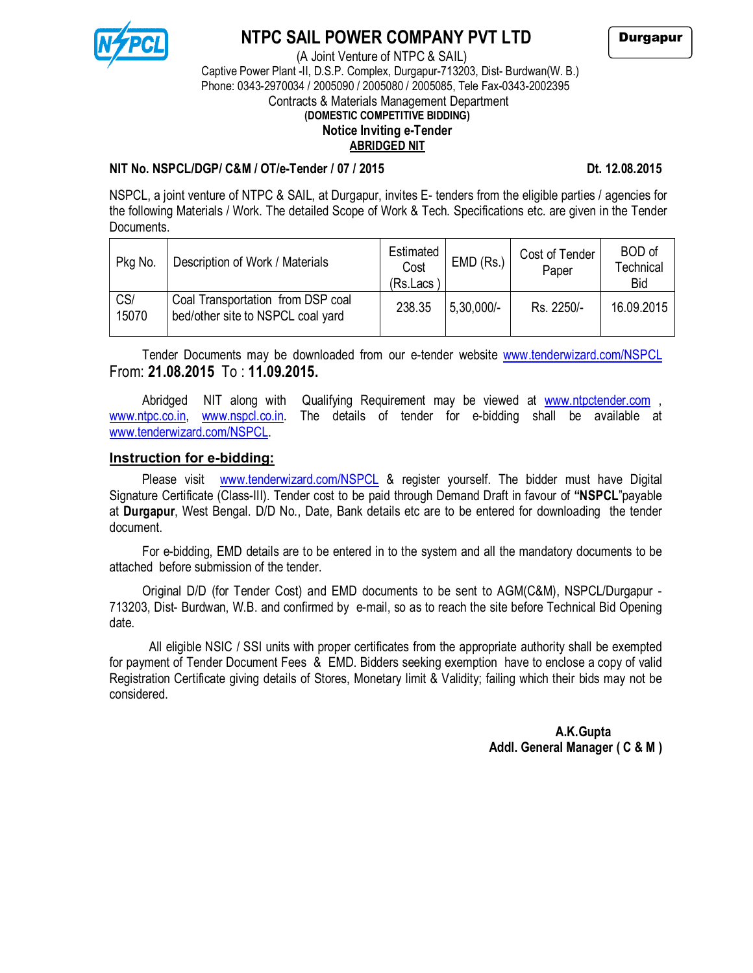

# **NTPC SAIL POWER COMPANY PVT LTD**

(A Joint Venture of NTPC & SAIL)

 Captive Power Plant -II, D.S.P. Complex, Durgapur-713203, Dist- Burdwan(W. B.) Phone: 0343-2970034 / 2005090 / 2005080 / 2005085, Tele Fax-0343-2002395 Contracts & Materials Management Department

## **(DOMESTIC COMPETITIVE BIDDING) Notice Inviting e-Tender**

#### **ABRIDGED NIT**

#### **NIT No. NSPCL/DGP/ C&M / OT/e-Tender / 07 / 2015 Dt. 12.08.2015**

NSPCL, a joint venture of NTPC & SAIL, at Durgapur, invites E- tenders from the eligible parties / agencies for the following Materials / Work. The detailed Scope of Work & Tech. Specifications etc. are given in the Tender Documents.

| Pkg No.      | Description of Work / Materials                                        | Estimated<br>Cost<br>(Rs.Lacs | $EMD$ (Rs.)  | Cost of Tender<br>Paper | BOD of<br>Technical<br><b>Bid</b> |
|--------------|------------------------------------------------------------------------|-------------------------------|--------------|-------------------------|-----------------------------------|
| CS/<br>15070 | Coal Transportation from DSP coal<br>bed/other site to NSPCL coal yard | 238.35                        | $5,30,000/-$ | Rs. 2250/-              | 16.09.2015                        |

Tender Documents may be downloaded from our e-tender website www.tenderwizard.com/NSPCL From: **21.08.2015** To : **11.09.2015.**

[Abridged](http://www.tenderwizard.com/NSPCL From: 20.08.2015) NIT along with Qualifying Requirement may be viewed at www.ntpctender.com , www.ntpc.co.in, www.nspcl.co.in. The details of tender for e-bidding sh[all be available at](http://www.ntpctender.com/) [www.tender](http://www.ntpc.co.in/)wi[zard.com/NSPCL.](http://www.nspcl.co.in/)

#### **[Instruction for e-biddin](http://www.tenderwizard.com/NSPCL)g:**

Please visit www.tenderwizard.com/NSPCL & register yourself. The bidder must have Digital Signature Certificate (Class-III). Tender cost to be paid through Demand Draft in favour of **"NSPCL**"payable at **Durgapur**, We[st Bengal. D/D No., Date, Bank de](http://www.tenderwizard.com/NSPCL)tails etc are to be entered for downloading the tender document.

For e-bidding, EMD details are to be entered in to the system and all the mandatory documents to be attached before submission of the tender.

Original D/D (for Tender Cost) and EMD documents to be sent to AGM(C&M), NSPCL/Durgapur - 713203, Dist- Burdwan, W.B. and confirmed by e-mail, so as to reach the site before Technical Bid Opening date.

 All eligible NSIC / SSI units with proper certificates from the appropriate authority shall be exempted for payment of Tender Document Fees & EMD. Bidders seeking exemption have to enclose a copy of valid Registration Certificate giving details of Stores, Monetary limit & Validity; failing which their bids may not be considered.

> **A.K.Gupta Addl. General Manager ( C & M )**